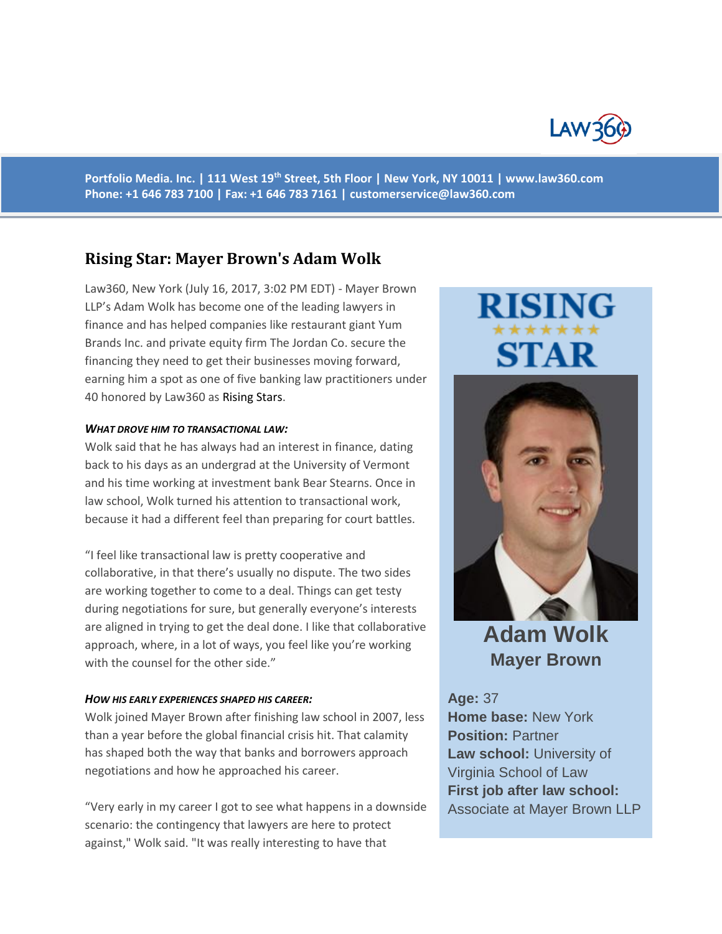

**Portfolio Media. Inc. | 111 West 19th Street, 5th Floor | New York, NY 10011 | www.law360.com Phone: +1 646 783 7100 | Fax: +1 646 783 7161 | [customerservice@law360.com](mailto:customerservice@law360.com)**

# **Rising Star: Mayer Brown's Adam Wolk**

Law360, New York (July 16, 2017, 3:02 PM EDT) - Mayer Brown LLP's Adam Wolk has become one of the leading lawyers in finance and has helped companies like restaurant giant Yum Brands Inc. and private equity firm The Jordan Co. secure the financing they need to get their businesses moving forward, earning him a spot as one of five banking law practitioners under 40 honored by Law360 as [Rising Stars.](https://www.law360.com/articles/942345/law360-names-top-attorneys-under-40)

#### *WHAT DROVE HIM TO TRANSACTIONAL LAW:*

Wolk said that he has always had an interest in finance, dating back to his days as an undergrad at the University of Vermont and his time working at investment bank Bear Stearns. Once in law school, Wolk turned his attention to transactional work, because it had a different feel than preparing for court battles.

"I feel like transactional law is pretty cooperative and collaborative, in that there's usually no dispute. The two sides are working together to come to a deal. Things can get testy during negotiations for sure, but generally everyone's interests are aligned in trying to get the deal done. I like that collaborative approach, where, in a lot of ways, you feel like you're working with the counsel for the other side."

### *HOW HIS EARLY EXPERIENCES SHAPED HIS CAREER:*

Wolk joined Mayer Brown after finishing law school in 2007, less than a year before the global financial crisis hit. That calamity has shaped both the way that banks and borrowers approach negotiations and how he approached his career.

"Very early in my career I got to see what happens in a downside scenario: the contingency that lawyers are here to protect against," Wolk said. "It was really interesting to have that

# STAR



**Adam Wolk Mayer Brown**

**Age:** 37 **Home base:** New York **Position:** Partner **Law school:** University of Virginia School of Law **First job after law school:** Associate at Mayer Brown LLP